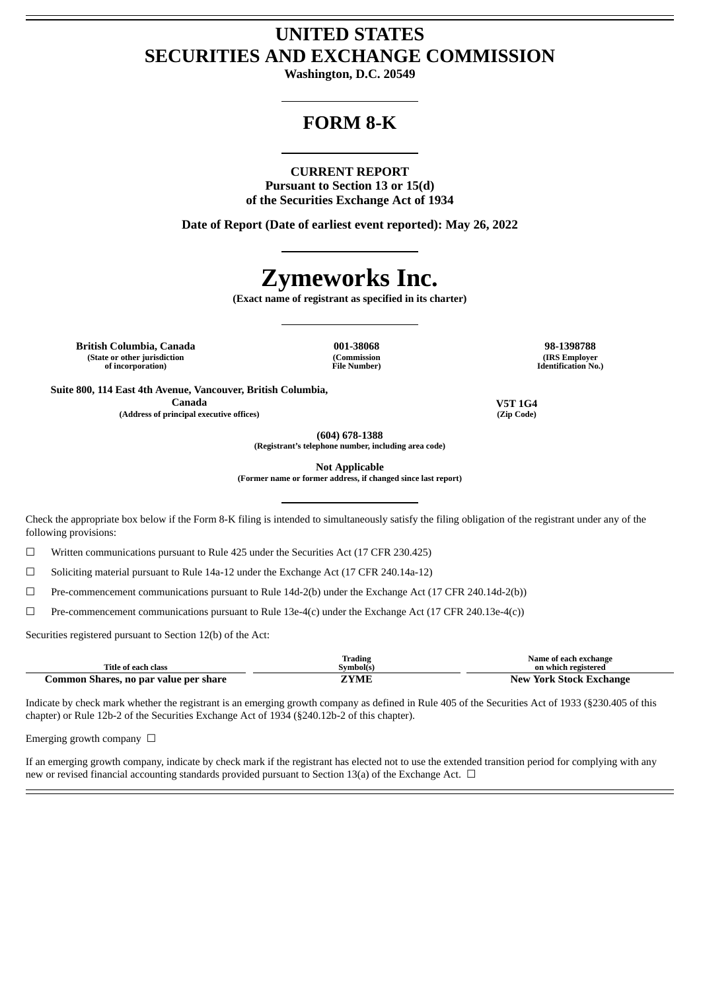# **UNITED STATES SECURITIES AND EXCHANGE COMMISSION**

**Washington, D.C. 20549**

# **FORM 8-K**

#### **CURRENT REPORT**

**Pursuant to Section 13 or 15(d) of the Securities Exchange Act of 1934**

**Date of Report (Date of earliest event reported): May 26, 2022**

# **Zymeworks Inc.**

**(Exact name of registrant as specified in its charter)**

**British Columbia, Canada 001-38068 98-1398788 (State or other jurisdiction of incorporation)**

**(Commission File Number)**

**(IRS Employer Identification No.)**

**Suite 800, 114 East 4th Avenue, Vancouver, British Columbia, Canada V5T 1G4 (Address of principal executive offices) (Zip Code)**

**(604) 678-1388 (Registrant's telephone number, including area code)**

**Not Applicable**

**(Former name or former address, if changed since last report)**

Check the appropriate box below if the Form 8-K filing is intended to simultaneously satisfy the filing obligation of the registrant under any of the following provisions:

☐ Written communications pursuant to Rule 425 under the Securities Act (17 CFR 230.425)

☐ Soliciting material pursuant to Rule 14a-12 under the Exchange Act (17 CFR 240.14a-12)

☐ Pre-commencement communications pursuant to Rule 14d-2(b) under the Exchange Act (17 CFR 240.14d-2(b))

 $\Box$  Pre-commencement communications pursuant to Rule 13e-4(c) under the Exchange Act (17 CFR 240.13e-4(c))

Securities registered pursuant to Section 12(b) of the Act:

| Title of each class                   | Trading<br>Svmbol(s) | Name of each exchange<br>on which registered |
|---------------------------------------|----------------------|----------------------------------------------|
| Common Shares, no par value per share | ZYME                 | <b>New York Stock Exchange</b>               |

Indicate by check mark whether the registrant is an emerging growth company as defined in Rule 405 of the Securities Act of 1933 (§230.405 of this chapter) or Rule 12b-2 of the Securities Exchange Act of 1934 (§240.12b-2 of this chapter).

Emerging growth company  $\Box$ 

If an emerging growth company, indicate by check mark if the registrant has elected not to use the extended transition period for complying with any new or revised financial accounting standards provided pursuant to Section 13(a) of the Exchange Act.  $\Box$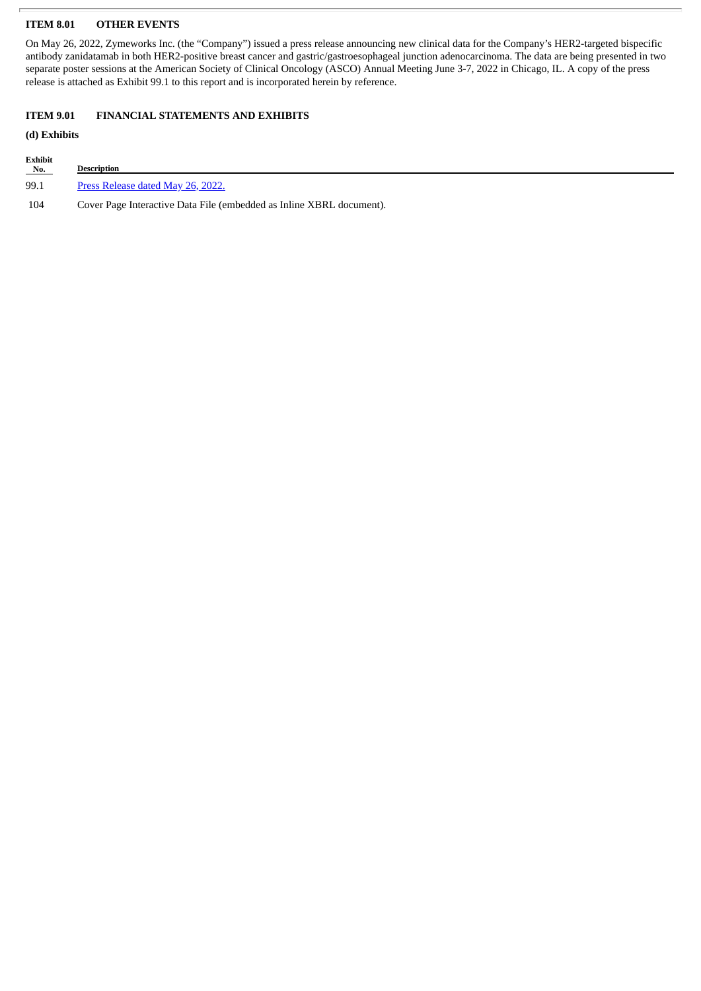## **ITEM 8.01 OTHER EVENTS**

On May 26, 2022, Zymeworks Inc. (the "Company") issued a press release announcing new clinical data for the Company's HER2-targeted bispecific antibody zanidatamab in both HER2-positive breast cancer and gastric/gastroesophageal junction adenocarcinoma. The data are being presented in two separate poster sessions at the American Society of Clinical Oncology (ASCO) Annual Meeting June 3-7, 2022 in Chicago, IL. A copy of the press release is attached as Exhibit 99.1 to this report and is incorporated herein by reference.

#### **ITEM 9.01 FINANCIAL STATEMENTS AND EXHIBITS**

## **(d) Exhibits**

| Exhibit<br>No. | <b>Description</b>                                                   |
|----------------|----------------------------------------------------------------------|
| 99.1           | Press Release dated May 26, 2022.                                    |
| 104            | Cover Page Interactive Data File (embedded as Inline XBRL document). |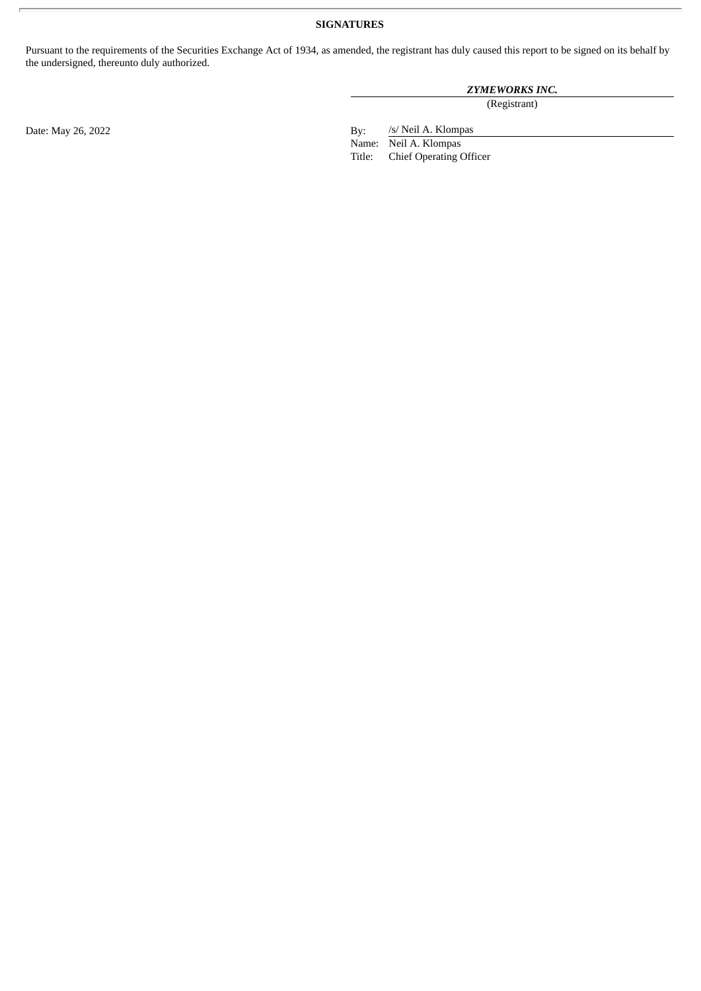# **SIGNATURES**

Pursuant to the requirements of the Securities Exchange Act of 1934, as amended, the registrant has duly caused this report to be signed on its behalf by the undersigned, thereunto duly authorized.

# *ZYMEWORKS INC.*

(Registrant)

/s/ Neil A. Klompas

Name: Neil A. Klompas<br>Title: Chief Operating ( Chief Operating Officer

Date: May 26, 2022 By: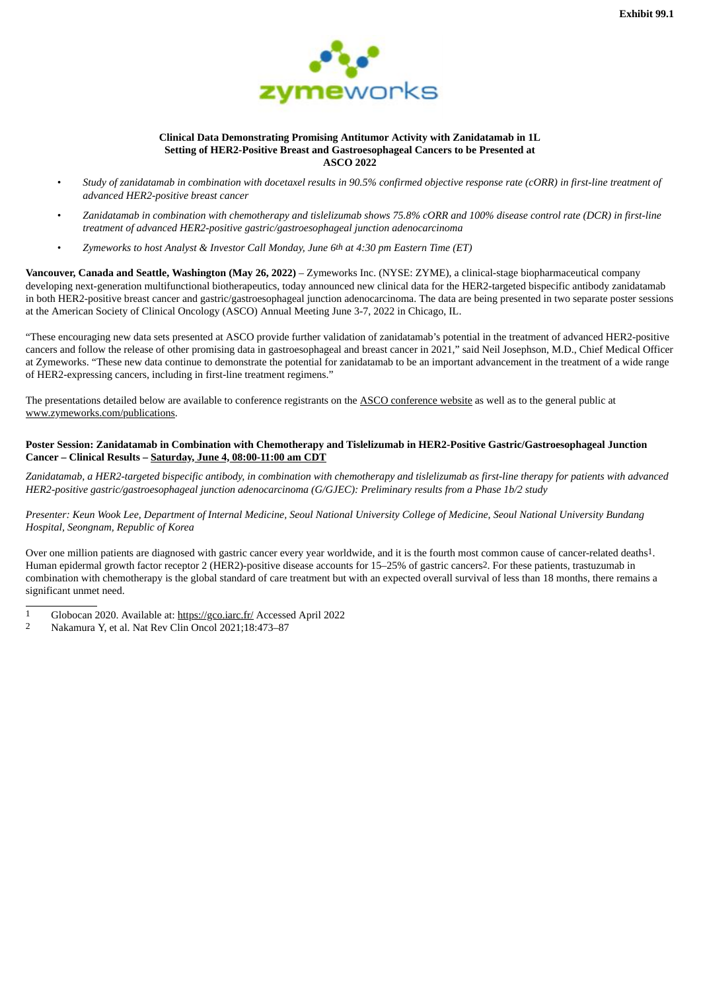

#### **Clinical Data Demonstrating Promising Antitumor Activity with Zanidatamab in 1L Setting of HER2-Positive Breast and Gastroesophageal Cancers to be Presented at ASCO 2022**

- <span id="page-3-0"></span>Study of zanidatamab in combination with docetaxel results in 90.5% confirmed objective response rate (cORR) in first-line treatment of *advanced HER2-positive breast cancer*
- Zanidatamab in combination with chemotherapy and tislelizumab shows 75.8% cORR and 100% disease control rate (DCR) in first-line *treatment of advanced HER2-positive gastric/gastroesophageal junction adenocarcinoma*
- *Zymeworks to host Analyst & Investor Call Monday, June 6th at 4:30 pm Eastern Time (ET)*

**Vancouver, Canada and Seattle, Washington (May 26, 2022)** – Zymeworks Inc. (NYSE: ZYME), a clinical-stage biopharmaceutical company developing next-generation multifunctional biotherapeutics, today announced new clinical data for the HER2-targeted bispecific antibody zanidatamab in both HER2-positive breast cancer and gastric/gastroesophageal junction adenocarcinoma. The data are being presented in two separate poster sessions at the American Society of Clinical Oncology (ASCO) Annual Meeting June 3-7, 2022 in Chicago, IL.

"These encouraging new data sets presented at ASCO provide further validation of zanidatamab's potential in the treatment of advanced HER2-positive cancers and follow the release of other promising data in gastroesophageal and breast cancer in 2021," said Neil Josephson, M.D., Chief Medical Officer at Zymeworks. "These new data continue to demonstrate the potential for zanidatamab to be an important advancement in the treatment of a wide range of HER2-expressing cancers, including in first-line treatment regimens."

The presentations detailed below are available to conference registrants on the ASCO conference website as well as to the general public at www.zymeworks.com/publications.

#### **Poster Session: Zanidatamab in Combination with Chemotherapy and Tislelizumab in HER2-Positive Gastric/Gastroesophageal Junction Cancer – Clinical Results – Saturday, June 4, 08:00-11:00 am CDT**

Zanidatamab, a HER2-targeted bispecific antibody, in combination with chemotherapy and tislelizumab as first-line therapy for patients with advanced *HER2-positive gastric/gastroesophageal junction adenocarcinoma (G/GJEC): Preliminary results from a Phase 1b/2 study*

Presenter: Keun Wook Lee, Department of Internal Medicine, Seoul National University College of Medicine, Seoul National University Bundang *Hospital, Seongnam, Republic of Korea*

Over one million patients are diagnosed with gastric cancer every year worldwide, and it is the fourth most common cause of cancer-related deaths1. Human epidermal growth factor receptor 2 (HER2)-positive disease accounts for 15–25% of gastric cancers2. For these patients, trastuzumab in combination with chemotherapy is the global standard of care treatment but with an expected overall survival of less than 18 months, there remains a significant unmet need.

- 1 Globocan 2020. Available at: https://gco.iarc.fr/ Accessed April 2022
- 2 Nakamura Y, et al. Nat Rev Clin Oncol 2021;18:473–87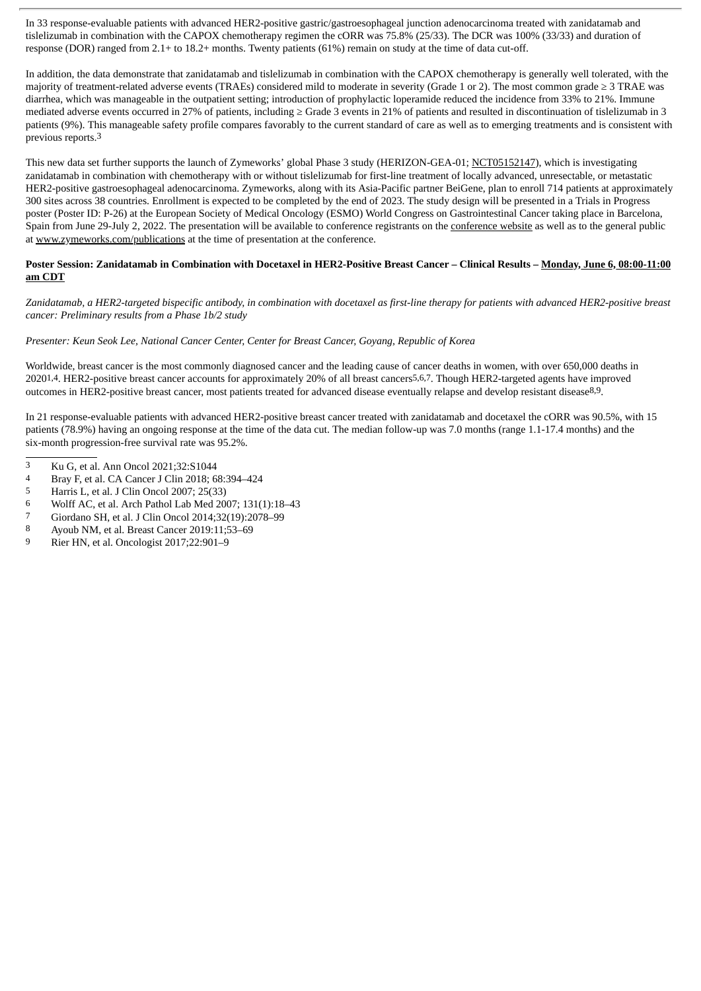In 33 response-evaluable patients with advanced HER2-positive gastric/gastroesophageal junction adenocarcinoma treated with zanidatamab and tislelizumab in combination with the CAPOX chemotherapy regimen the cORR was 75.8% (25/33). The DCR was 100% (33/33) and duration of response (DOR) ranged from 2.1+ to 18.2+ months. Twenty patients (61%) remain on study at the time of data cut-off.

In addition, the data demonstrate that zanidatamab and tislelizumab in combination with the CAPOX chemotherapy is generally well tolerated, with the majority of treatment-related adverse events (TRAEs) considered mild to moderate in severity (Grade 1 or 2). The most common grade ≥ 3 TRAE was diarrhea, which was manageable in the outpatient setting; introduction of prophylactic loperamide reduced the incidence from 33% to 21%. Immune mediated adverse events occurred in 27% of patients, including ≥ Grade 3 events in 21% of patients and resulted in discontinuation of tislelizumab in 3 patients (9%). This manageable safety profile compares favorably to the current standard of care as well as to emerging treatments and is consistent with previous reports.3

This new data set further supports the launch of Zymeworks' global Phase 3 study (HERIZON-GEA-01; NCT05152147), which is investigating zanidatamab in combination with chemotherapy with or without tislelizumab for first-line treatment of locally advanced, unresectable, or metastatic HER2-positive gastroesophageal adenocarcinoma. Zymeworks, along with its Asia-Pacific partner BeiGene, plan to enroll 714 patients at approximately 300 sites across 38 countries. Enrollment is expected to be completed by the end of 2023. The study design will be presented in a Trials in Progress poster (Poster ID: P-26) at the European Society of Medical Oncology (ESMO) World Congress on Gastrointestinal Cancer taking place in Barcelona, Spain from June 29-July 2, 2022. The presentation will be available to conference registrants on the conference website as well as to the general public at www.zymeworks.com/publications at the time of presentation at the conference.

#### Poster Session: Zanidatamab in Combination with Docetaxel in HER2-Positive Breast Cancer - Clinical Results - Monday, June 6, 08:00-11:00 **am CDT**

Zanidatamab, a HER2-targeted bispecific antibody, in combination with docetaxel as first-line therapy for patients with advanced HER2-positive breast *cancer: Preliminary results from a Phase 1b/2 study*

## *Presenter: Keun Seok Lee, National Cancer Center, Center for Breast Cancer, Goyang, Republic of Korea*

Worldwide, breast cancer is the most commonly diagnosed cancer and the leading cause of cancer deaths in women, with over 650,000 deaths in 20201,4. HER2-positive breast cancer accounts for approximately 20% of all breast cancers5,6,7. Though HER2-targeted agents have improved outcomes in HER2-positive breast cancer, most patients treated for advanced disease eventually relapse and develop resistant disease8,9.

In 21 response-evaluable patients with advanced HER2-positive breast cancer treated with zanidatamab and docetaxel the cORR was 90.5%, with 15 patients (78.9%) having an ongoing response at the time of the data cut. The median follow-up was 7.0 months (range 1.1-17.4 months) and the six-month progression-free survival rate was 95.2%.

- 3 Ku G, et al. Ann Oncol 2021;32:S1044
- 4 Bray F, et al. CA Cancer J Clin 2018; 68:394-424
- 5 Harris L, et al. J Clin Oncol 2007; 25(33)
- 6 Wolff AC, et al. Arch Pathol Lab Med 2007;  $131(1):18-43$ <br>  $\frac{7}{2}$  Giordano SH et al. LClin Opeel 2014:32(10):2078.00
- 7 Giordano SH, et al. J Clin Oncol 2014;32(19):2078–99
- 8 Ayoub NM, et al. Breast Cancer 2019:11;53–69
- 9 Rier HN, et al. Oncologist 2017;22:901–9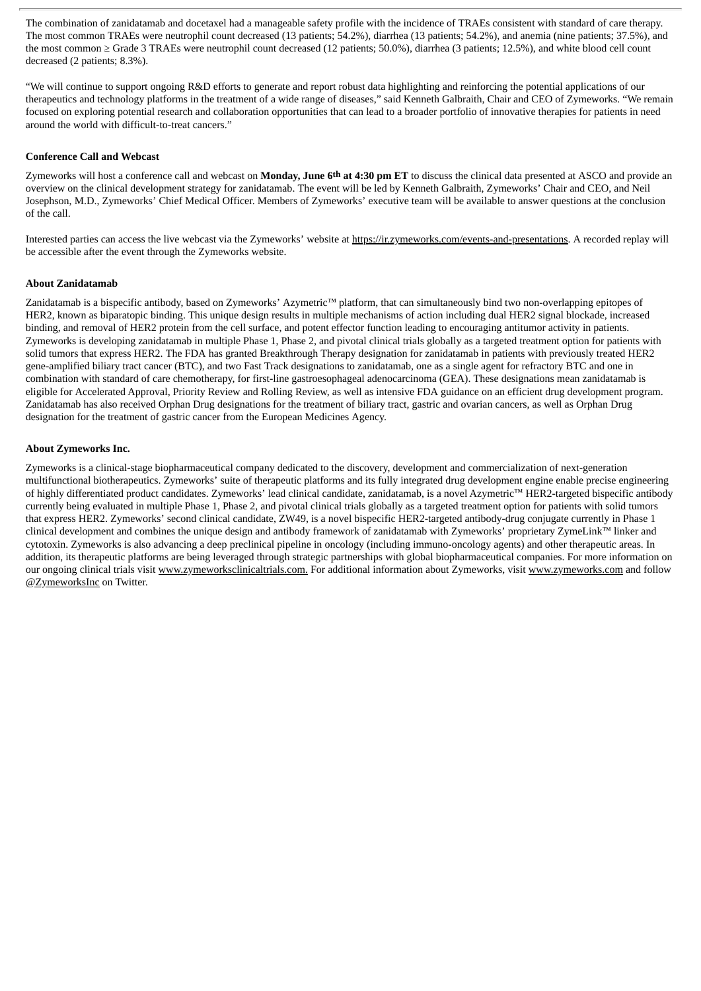The combination of zanidatamab and docetaxel had a manageable safety profile with the incidence of TRAEs consistent with standard of care therapy. The most common TRAEs were neutrophil count decreased (13 patients; 54.2%), diarrhea (13 patients; 54.2%), and anemia (nine patients; 37.5%), and the most common ≥ Grade 3 TRAEs were neutrophil count decreased (12 patients; 50.0%), diarrhea (3 patients; 12.5%), and white blood cell count decreased (2 patients; 8.3%).

"We will continue to support ongoing R&D efforts to generate and report robust data highlighting and reinforcing the potential applications of our therapeutics and technology platforms in the treatment of a wide range of diseases," said Kenneth Galbraith, Chair and CEO of Zymeworks. "We remain focused on exploring potential research and collaboration opportunities that can lead to a broader portfolio of innovative therapies for patients in need around the world with difficult-to-treat cancers."

#### **Conference Call and Webcast**

Zymeworks will host a conference call and webcast on **Monday, June 6th at 4:30 pm ET** to discuss the clinical data presented at ASCO and provide an overview on the clinical development strategy for zanidatamab. The event will be led by Kenneth Galbraith, Zymeworks' Chair and CEO, and Neil Josephson, M.D., Zymeworks' Chief Medical Officer. Members of Zymeworks' executive team will be available to answer questions at the conclusion of the call.

Interested parties can access the live webcast via the Zymeworks' website at https://ir.zymeworks.com/events-and-presentations. A recorded replay will be accessible after the event through the Zymeworks website.

#### **About Zanidatamab**

Zanidatamab is a bispecific antibody, based on Zymeworks' Azymetric™ platform, that can simultaneously bind two non-overlapping epitopes of HER2, known as biparatopic binding. This unique design results in multiple mechanisms of action including dual HER2 signal blockade, increased binding, and removal of HER2 protein from the cell surface, and potent effector function leading to encouraging antitumor activity in patients. Zymeworks is developing zanidatamab in multiple Phase 1, Phase 2, and pivotal clinical trials globally as a targeted treatment option for patients with solid tumors that express HER2. The FDA has granted Breakthrough Therapy designation for zanidatamab in patients with previously treated HER2 gene-amplified biliary tract cancer (BTC), and two Fast Track designations to zanidatamab, one as a single agent for refractory BTC and one in combination with standard of care chemotherapy, for first-line gastroesophageal adenocarcinoma (GEA). These designations mean zanidatamab is eligible for Accelerated Approval, Priority Review and Rolling Review, as well as intensive FDA guidance on an efficient drug development program. Zanidatamab has also received Orphan Drug designations for the treatment of biliary tract, gastric and ovarian cancers, as well as Orphan Drug designation for the treatment of gastric cancer from the European Medicines Agency.

#### **About Zymeworks Inc.**

Zymeworks is a clinical-stage biopharmaceutical company dedicated to the discovery, development and commercialization of next-generation multifunctional biotherapeutics. Zymeworks' suite of therapeutic platforms and its fully integrated drug development engine enable precise engineering of highly differentiated product candidates. Zymeworks' lead clinical candidate, zanidatamab, is a novel Azymetric™ HER2-targeted bispecific antibody currently being evaluated in multiple Phase 1, Phase 2, and pivotal clinical trials globally as a targeted treatment option for patients with solid tumors that express HER2. Zymeworks' second clinical candidate, ZW49, is a novel bispecific HER2-targeted antibody-drug conjugate currently in Phase 1 clinical development and combines the unique design and antibody framework of zanidatamab with Zymeworks' proprietary ZymeLink™ linker and cytotoxin. Zymeworks is also advancing a deep preclinical pipeline in oncology (including immuno-oncology agents) and other therapeutic areas. In addition, its therapeutic platforms are being leveraged through strategic partnerships with global biopharmaceutical companies. For more information on our ongoing clinical trials visit www.zymeworksclinicaltrials.com. For additional information about Zymeworks, visit www.zymeworks.com and follow @ZymeworksInc on Twitter.